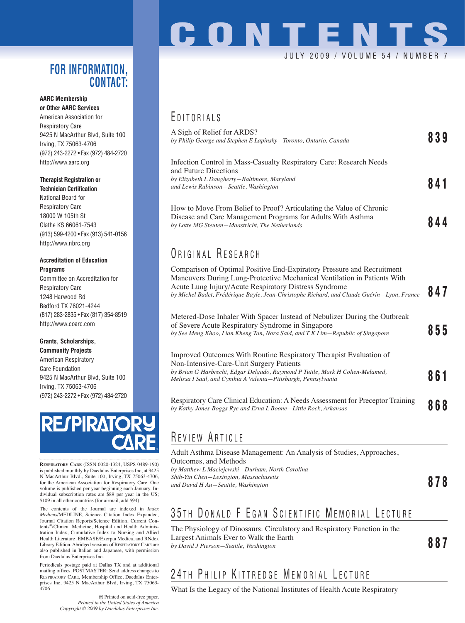#### **FOR INFORMATION, CONTACT:**

#### **AARC Membership or Other AARC Services**

American Association for Respiratory Care 9425 N MacArthur Blvd, Suite 100 Irving, TX 75063-4706 (972) 243-2272 • Fax (972) 484-2720 http://www.aarc.org

#### **Therapist Registration or**

**Technician Certification** National Board for Respiratory Care 18000 W 105th St Olathe KS 66061-7543 (913) 599-4200 • Fax (913) 541-0156 http://www.nbrc.org

#### **Accreditation of Education Programs**

Committee on Accreditation for Respiratory Care 1248 Harwood Rd Bedford TX 76021-4244 (817) 283-2835 • Fax (817) 354-8519 http://www.coarc.com

#### **Grants, Scholarships, Community Projects**

American Respiratory Care Foundation 9425 N MacArthur Blvd, Suite 100 Irving, TX 75063-4706 (972) 243-2272 • Fax (972) 484-2720



**RESPIRATORY CARE** (ISSN 0020-1324, USPS 0489-190) is published monthly by Daedalus Enterprises Inc, at 9425 N MacArthur Blvd., Suite 100, Irving, TX 75063-4706, for the American Association for Respiratory Care. One volume is published per year beginning each January. Individual subscription rates are \$89 per year in the US; \$109 in all other countries (for airmail, add \$94).

The contents of the Journal are indexed in *Index Medicus*/MEDLINE, Science Citation Index Expanded, Journal Citation Reports/Science Edition, Current Contents®/Clinical Medicine, Hospital and Health Administration Index, Cumulative Index to Nursing and Allied Health Literature, EMBASE/Exerpta Medica, and RNdex Library Edition. Abridged versions of RESPIRATORY CARE are also published in Italian and Japanese, with permission from Daedalus Enterprises Inc.

Periodicals postage paid at Dallas TX and at additional mailing offices. POSTMASTER: Send address changes to RESPIRATORY CARE, Membership Office, Daedalus Enterprises Inc, 9425 N MacArthur Blvd, Irving, TX 75063- 4706

> Printed on acid-free paper. *Printed in the United States of America Copyright © 2009 by Daedalus Enterprises Inc.*

# **CONTENTS** JULY 2009 / VOLUME 54 / NUMBE

## E DITORIALS

| A Sigh of Relief for ARDS?<br>by Philip George and Stephen E Lapinsky–Toronto, Ontario, Canada                                                                                         | 839 |
|----------------------------------------------------------------------------------------------------------------------------------------------------------------------------------------|-----|
| Infection Control in Mass-Casualty Respiratory Care: Research Needs<br>and Future Directions<br>by Elizabeth L Daugherty-Baltimore, Maryland<br>and Lewis Rubinson-Seattle, Washington | 841 |
| How to Move From Belief to Proof? Articulating the Value of Chronic<br>Disease and Care Management Programs for Adults With Asthma<br>by Lotte MG Steuten-Maastricht, The Netherlands  | 844 |

## ORIGINAL RESEARCH

| Comparison of Optimal Positive End-Expiratory Pressure and Recruitment<br>Maneuvers During Lung-Protective Mechanical Ventilation in Patients With<br>Acute Lung Injury/Acute Respiratory Distress Syndrome<br>by Michel Badet, Frédérique Bayle, Jean-Christophe Richard, and Claude Guérin—Lyon, France | 847 |
|-----------------------------------------------------------------------------------------------------------------------------------------------------------------------------------------------------------------------------------------------------------------------------------------------------------|-----|
| Metered-Dose Inhaler With Spacer Instead of Nebulizer During the Outbreak<br>of Severe Acute Respiratory Syndrome in Singapore<br>by See Meng Khoo, Lian Kheng Tan, Nora Said, and T K Lim—Republic of Singapore                                                                                          | 855 |
| Improved Outcomes With Routine Respiratory Therapist Evaluation of<br>Non-Intensive-Care-Unit Surgery Patients<br>by Brian G Harbrecht, Edgar Delgado, Raymond P Tuttle, Mark H Cohen-Melamed,<br>Melissa I Saul, and Cynthia A Valenta—Pittsburgh, Pennsylvania                                          | 861 |
| Respiratory Care Clinical Education: A Needs Assessment for Preceptor Training<br>by Kathy Jones-Boggs Rye and Erna L Boone-Little Rock, Arkansas                                                                                                                                                         | 868 |

## R EVIEW A RTICLE

Adult Asthma Disease Management: An Analysis of Studies, Approaches, Outcomes, and Methods *by Matthew L Maciejewski—Durham, North Carolina Shih-Yin Chen—Lexington, Massachusetts and David H Au—Seattle, Washington* **878**

# 35TH DONALD F EGAN SCIENTIFIC MEMORIAL LECTURE

The Physiology of Dinosaurs: Circulatory and Respiratory Function in the Largest Animals Ever to Walk the Earth *by David J Pierson—Seattle, Washington* **887**

## 24 TH PHILIP KITTREDGE MEMORIAL LECTURE

What Is the Legacy of the National Institutes of Health Acute Respiratory